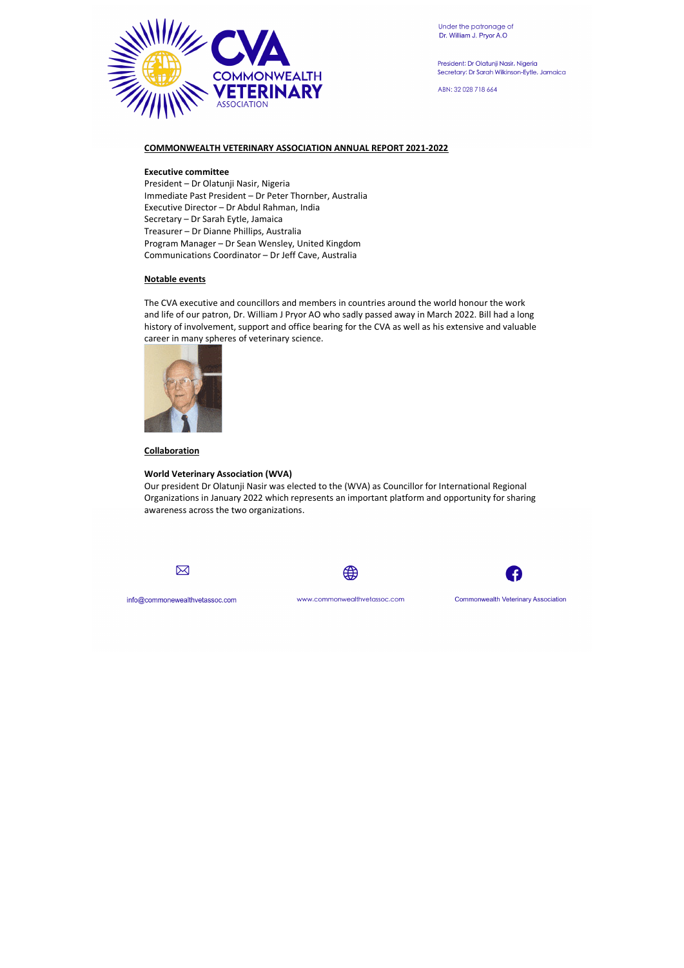

President: Dr Olatunji Nasir, Nigeria Secretary: Dr Sarah Wilkinson-Eytle, Jamaica

ABN: 32 028 718 664

# **COMMONWEALTH VETERINARY ASSOCIATION ANNUAL REPORT 2021-2022**

## **Executive committee**

President – Dr Olatunji Nasir, Nigeria Immediate Past President – Dr Peter Thornber, Australia Executive Director – Dr Abdul Rahman, India Secretary – Dr Sarah Eytle, Jamaica Treasurer – Dr Dianne Phillips, Australia Program Manager – Dr Sean Wensley, United Kingdom Communications Coordinator – Dr Jeff Cave, Australia

## **Notable events**

The CVA executive and councillors and members in countries around the world honour the work and life of our patron, Dr. William J Pryor AO who sadly passed away in March 2022. Bill had a long history of involvement, support and office bearing for the CVA as well as his extensive and valuable career in many spheres of veterinary science.



**Collaboration** 

#### **World Veterinary Association (WVA)**

Our president Dr Olatunji Nasir was elected to the (WVA) as Councillor for International Regional Organizations in January 2022 which represents an important platform and opportunity for sharing awareness across the two organizations.







info@commonewealthvetassoc.com

www.commonwealthvetassoc.com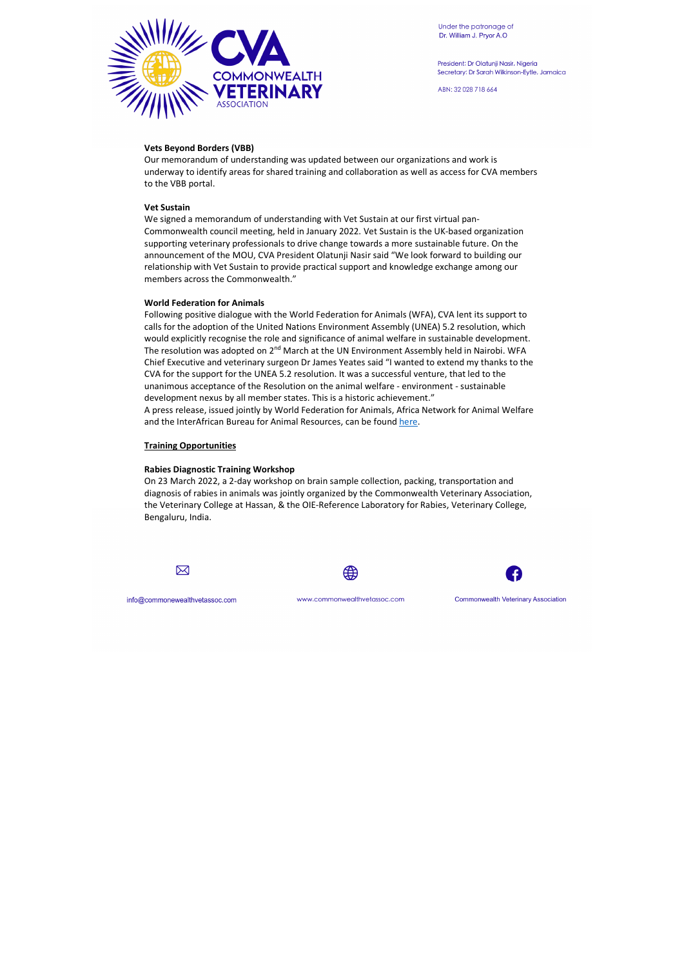

Under the patronage of Dr. William J. Pryor A.O

President: Dr Olatunji Nasir, Nigeria Secretary: Dr Sarah Wilkinson-Eytle, Jamaica

ABN: 32 028 718 664

## **Vets Beyond Borders (VBB)**

Our memorandum of understanding was updated between our organizations and work is underway to identify areas for shared training and collaboration as well as access for CVA members to the VBB portal.

## **Vet Sustain**

Following positive dialogue with the World Federation for Animals (WFA), CVA lent its support to calls for the adoption of the United Nations Environment Assembly (UNEA) 5.2 resolution, which would explicitly recognise the role and significance of animal welfare in sustainable development. The resolution was adopted on  $2<sup>nd</sup>$  March at the UN Environment Assembly held in Nairobi. WFA Chief Executive and veterinary surgeon Dr James Yeates said "I wanted to extend my thanks to the CVA for the support for the UNEA 5.2 resolution. It was a successful venture, that led to the unanimous acceptance of the Resolution on the animal welfare - environment - sustainable development nexus by all member states. This is a historic achievement." A press release, issued jointly by World Federation for Animals, Africa Network for Animal Welfare and the InterAfrican Bureau for Animal Resources, can be found here.

We signed a memorandum of understanding with Vet Sustain at our first virtual pan-Commonwealth council meeting, held in January 2022. Vet Sustain is the UK-based organization supporting veterinary professionals to drive change towards a more sustainable future. On the announcement of the MOU, CVA President Olatunji Nasir said "We look forward to building our relationship with Vet Sustain to provide practical support and knowledge exchange among our members across the Commonwealth."

## **World Federation for Animals**

#### **Training Opportunities**

## **Rabies Diagnostic Training Workshop**

On 23 March 2022, a 2-day workshop on brain sample collection, packing, transportation and diagnosis of rabies in animals was jointly organized by the Commonwealth Veterinary Association, the Veterinary College at Hassan, & the OIE-Reference Laboratory for Rabies, Veterinary College, Bengaluru, India.





info@commonewealthvetassoc.com

www.commonwealthvetassoc.com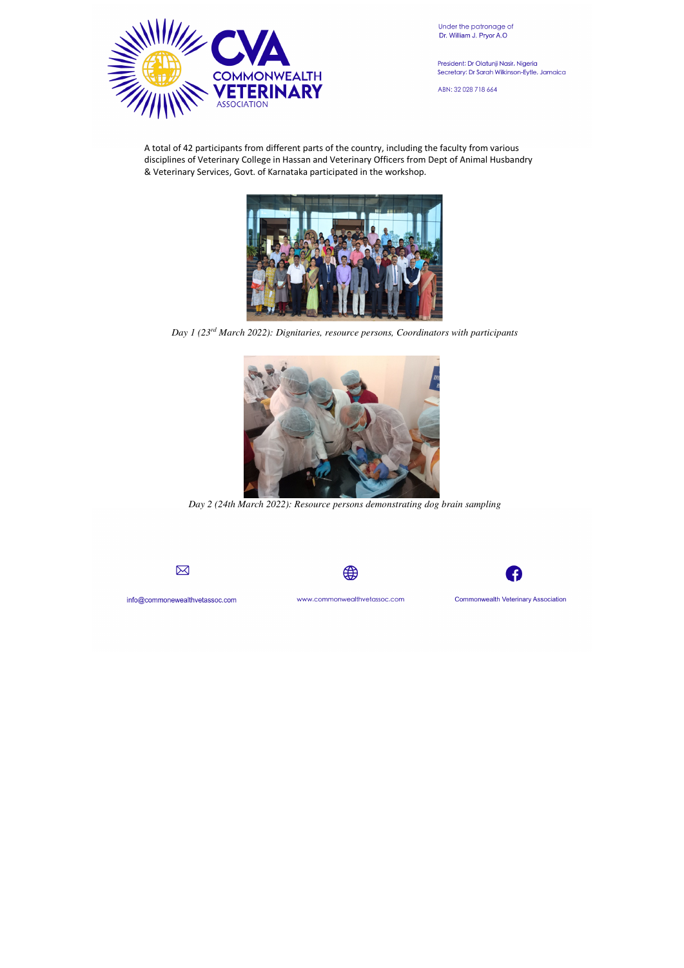

Under the patronage of Dr. William J. Pryor A.O

President: Dr Olatunji Nasir, Nigeria Secretary: Dr Sarah Wilkinson-Eytle, Jamaica

ABN: 32 028 718 664

A total of 42 participants from different parts of the country, including the faculty from various disciplines of Veterinary College in Hassan and Veterinary Officers from Dept of Animal Husbandry & Veterinary Services, Govt. of Karnataka participated in the workshop.



*Day 1 (23rd March 2022): Dignitaries, resource persons, Coordinators with participants*



*Day 2 (24th March 2022): Resource persons demonstrating dog brain sampling* 







info@commonewealthvetassoc.com

www.commonwealthvetassoc.com